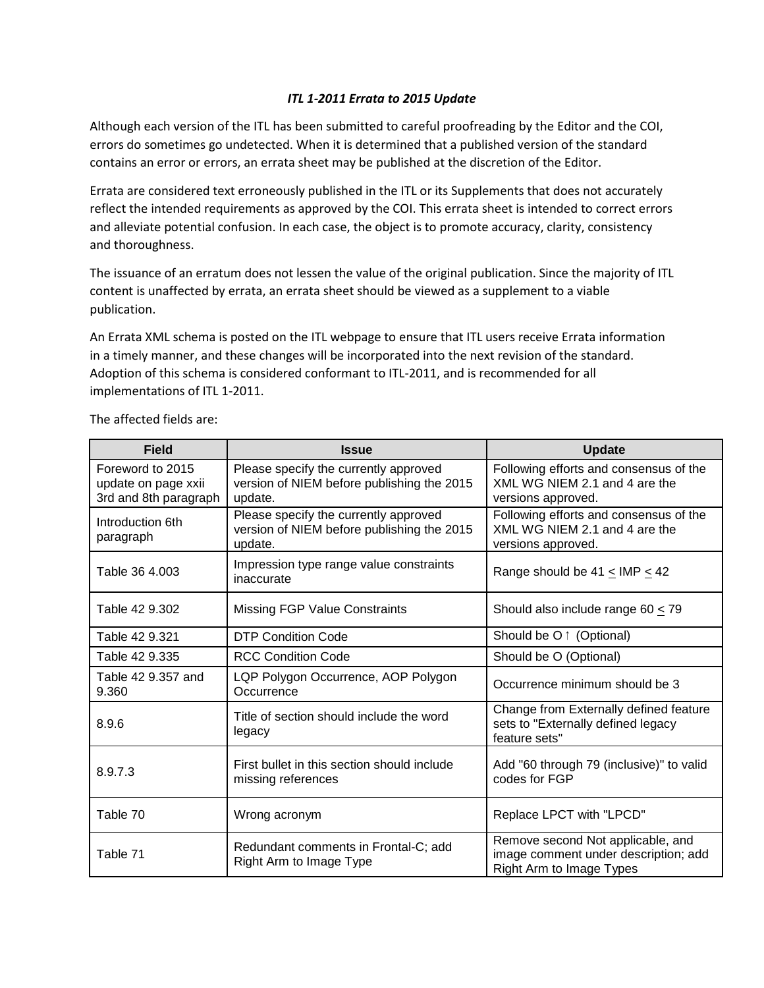## *ITL 1-2011 Errata to 2015 Update*

Although each version of the ITL has been submitted to careful proofreading by the Editor and the COI, errors do sometimes go undetected. When it is determined that a published version of the standard contains an error or errors, an errata sheet may be published at the discretion of the Editor.

Errata are considered text erroneously published in the ITL or its Supplements that does not accurately reflect the intended requirements as approved by the COI. This errata sheet is intended to correct errors and alleviate potential confusion. In each case, the object is to promote accuracy, clarity, consistency and thoroughness.

The issuance of an erratum does not lessen the value of the original publication. Since the majority of ITL content is unaffected by errata, an errata sheet should be viewed as a supplement to a viable publication.

An Errata XML schema is posted on the ITL webpage to ensure that ITL users receive Errata information in a timely manner, and these changes will be incorporated into the next revision of the standard. Adoption of this schema is considered conformant to ITL-2011, and is recommended for all implementations of ITL 1-2011.

| <b>Field</b>                                                     | <b>Issue</b>                                                                                   | <b>Update</b>                                                                                         |
|------------------------------------------------------------------|------------------------------------------------------------------------------------------------|-------------------------------------------------------------------------------------------------------|
| Foreword to 2015<br>update on page xxii<br>3rd and 8th paragraph | Please specify the currently approved<br>version of NIEM before publishing the 2015<br>update. | Following efforts and consensus of the<br>XML WG NIEM 2.1 and 4 are the<br>versions approved.         |
| Introduction 6th<br>paragraph                                    | Please specify the currently approved<br>version of NIEM before publishing the 2015<br>update. | Following efforts and consensus of the<br>XML WG NIEM 2.1 and 4 are the<br>versions approved.         |
| Table 36 4.003                                                   | Impression type range value constraints<br>inaccurate                                          | Range should be $41 \leq$ IMP $\leq 42$                                                               |
| Table 42 9.302                                                   | <b>Missing FGP Value Constraints</b>                                                           | Should also include range 60 $\leq$ 79                                                                |
| Table 42 9.321                                                   | <b>DTP Condition Code</b>                                                                      | Should be O ↑ (Optional)                                                                              |
| Table 42 9.335                                                   | <b>RCC Condition Code</b>                                                                      | Should be O (Optional)                                                                                |
| Table 42 9.357 and<br>9.360                                      | LQP Polygon Occurrence, AOP Polygon<br>Occurrence                                              | Occurrence minimum should be 3                                                                        |
| 8.9.6                                                            | Title of section should include the word<br>legacy                                             | Change from Externally defined feature<br>sets to "Externally defined legacy<br>feature sets"         |
| 8.9.7.3                                                          | First bullet in this section should include<br>missing references                              | Add "60 through 79 (inclusive)" to valid<br>codes for FGP                                             |
| Table 70                                                         | Wrong acronym                                                                                  | Replace LPCT with "LPCD"                                                                              |
| Table 71                                                         | Redundant comments in Frontal-C; add<br>Right Arm to Image Type                                | Remove second Not applicable, and<br>image comment under description; add<br>Right Arm to Image Types |

The affected fields are: